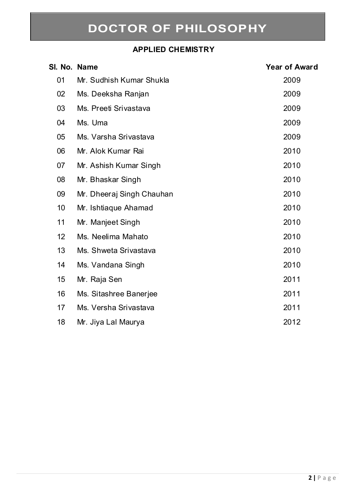#### **APPLIED CHEMISTRY**

| SI. No. Name |                           | <b>Year of Award</b> |
|--------------|---------------------------|----------------------|
| 01           | Mr. Sudhish Kumar Shukla  | 2009                 |
| 02           | Ms. Deeksha Ranjan        | 2009                 |
| 03           | Ms. Preeti Srivastava     | 2009                 |
| 04           | Ms. Uma                   | 2009                 |
| 05           | Ms. Varsha Srivastava     | 2009                 |
| 06           | Mr. Alok Kumar Rai        | 2010                 |
| 07           | Mr. Ashish Kumar Singh    | 2010                 |
| 08           | Mr. Bhaskar Singh         | 2010                 |
| 09           | Mr. Dheeraj Singh Chauhan | 2010                 |
| 10           | Mr. Ishtiaque Ahamad      | 2010                 |
| 11           | Mr. Manjeet Singh         | 2010                 |
| 12           | Ms. Neelima Mahato        | 2010                 |
| 13           | Ms. Shweta Srivastava     | 2010                 |
| 14           | Ms. Vandana Singh         | 2010                 |
| 15           | Mr. Raja Sen              | 2011                 |
| 16           | Ms. Sitashree Banerjee    | 2011                 |
| 17           | Ms. Versha Srivastava     | 2011                 |
| 18           | Mr. Jiya Lal Maurya       | 2012                 |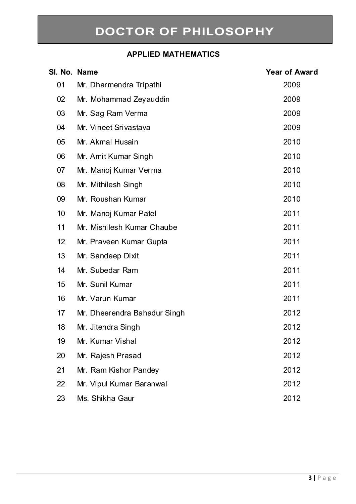### **APPLIED MATHEMATICS**

| SI. No. Name |                              | <b>Year of Award</b> |
|--------------|------------------------------|----------------------|
| 01           | Mr. Dharmendra Tripathi      | 2009                 |
| 02           | Mr. Mohammad Zeyauddin       | 2009                 |
| 03           | Mr. Sag Ram Verma            | 2009                 |
| 04           | Mr. Vineet Srivastava        | 2009                 |
| 05           | Mr. Akmal Husain             | 2010                 |
| 06           | Mr. Amit Kumar Singh         | 2010                 |
| 07           | Mr. Manoj Kumar Verma        | 2010                 |
| 08           | Mr. Mithilesh Singh          | 2010                 |
| 09           | Mr. Roushan Kumar            | 2010                 |
| 10           | Mr. Manoj Kumar Patel        | 2011                 |
| 11           | Mr. Mishilesh Kumar Chaube   | 2011                 |
| 12           | Mr. Praveen Kumar Gupta      | 2011                 |
| 13           | Mr. Sandeep Dixit            | 2011                 |
| 14           | Mr. Subedar Ram              | 2011                 |
| 15           | Mr. Sunil Kumar              | 2011                 |
| 16           | Mr. Varun Kumar              | 2011                 |
| 17           | Mr. Dheerendra Bahadur Singh | 2012                 |
| 18           | Mr. Jitendra Singh           | 2012                 |
| 19           | Mr. Kumar Vishal             | 2012                 |
| 20           | Mr. Rajesh Prasad            | 2012                 |
| 21           | Mr. Ram Kishor Pandey        | 2012                 |
| 22           | Mr. Vipul Kumar Baranwal     | 2012                 |
| 23           | Ms. Shikha Gaur              | 2012                 |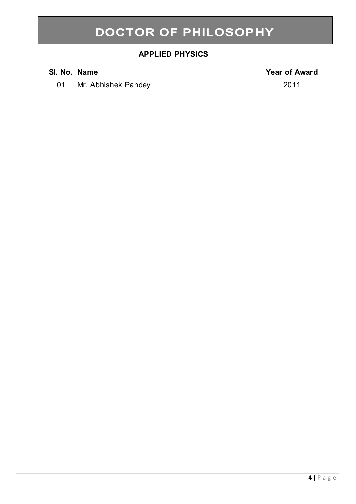#### **APPLIED PHYSICS**

01 Mr. Abhishek Pandey 2011

#### **Sl. No. Name Year of Award**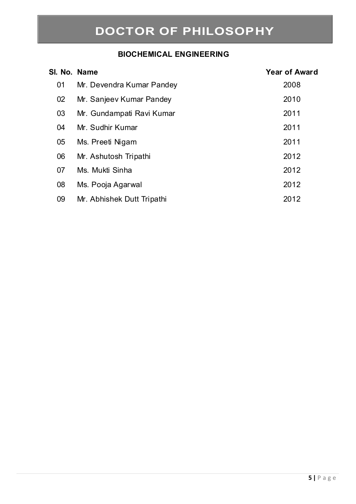#### **BIOCHEMICAL ENGINEERING**

| SI. No. Name |                            | <b>Year of Award</b> |
|--------------|----------------------------|----------------------|
| 01           | Mr. Devendra Kumar Pandey  | 2008                 |
| 02           | Mr. Sanjeev Kumar Pandey   | 2010                 |
| 03           | Mr. Gundampati Ravi Kumar  | 2011                 |
| 04           | Mr. Sudhir Kumar           | 2011                 |
| 05           | Ms. Preeti Nigam           | 2011                 |
| 06           | Mr. Ashutosh Tripathi      | 2012                 |
| 07           | Ms. Mukti Sinha            | 2012                 |
| 08           | Ms. Pooja Agarwal          | 2012                 |
| 09           | Mr. Abhishek Dutt Tripathi | 2012                 |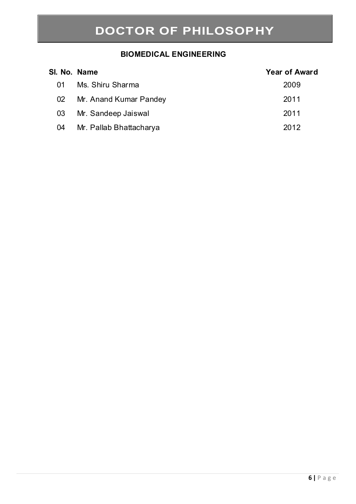#### **BIOMEDICAL ENGINEERING**

| SI. No. Name |                         | <b>Year of Award</b> |
|--------------|-------------------------|----------------------|
| 01           | Ms. Shiru Sharma        | 2009                 |
| 02           | Mr. Anand Kumar Pandey  | 2011                 |
| 03           | Mr. Sandeep Jaiswal     | 2011                 |
| 04           | Mr. Pallab Bhattacharya | 2012                 |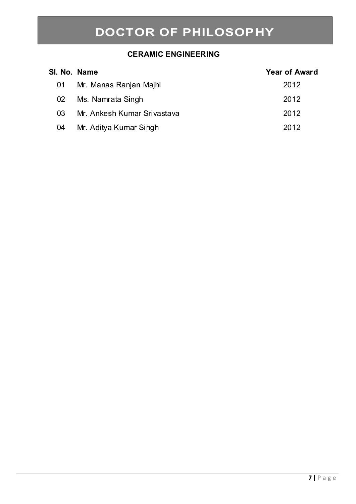#### **CERAMIC ENGINEERING**

| SI. No. Name |                             | <b>Year of Award</b> |
|--------------|-----------------------------|----------------------|
| 01           | Mr. Manas Ranjan Majhi      | 2012                 |
| 02           | Ms. Namrata Singh           | 2012                 |
| 03           | Mr. Ankesh Kumar Srivastava | 2012                 |
| 04           | Mr. Aditya Kumar Singh      | 2012                 |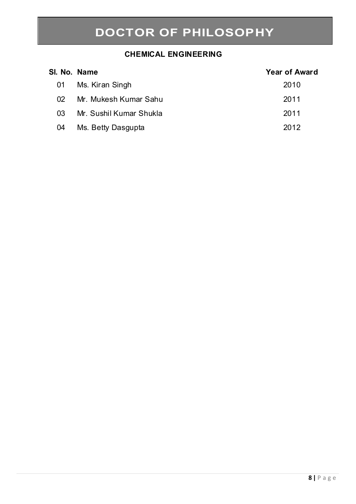#### **CHEMICAL ENGINEERING**

| SI. No. Name   |                         | <b>Year of Award</b> |
|----------------|-------------------------|----------------------|
| 01             | Ms. Kiran Singh         | 2010                 |
| O <sub>2</sub> | Mr. Mukesh Kumar Sahu   | 2011                 |
| 03             | Mr. Sushil Kumar Shukla | 2011                 |
| 04             | Ms. Betty Dasgupta      | 2012                 |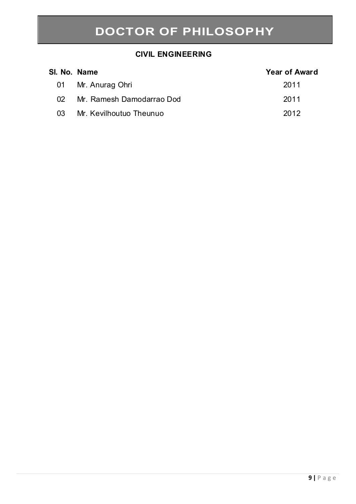#### **CIVIL ENGINEERING**

| SI. No. Name   |                           | <b>Year of Award</b> |
|----------------|---------------------------|----------------------|
| 01             | Mr. Anurag Ohri           | 2011                 |
| O <sub>2</sub> | Mr. Ramesh Damodarrao Dod | 2011                 |
| 03.            | Mr. Kevilhoutuo Theunuo   | 2012                 |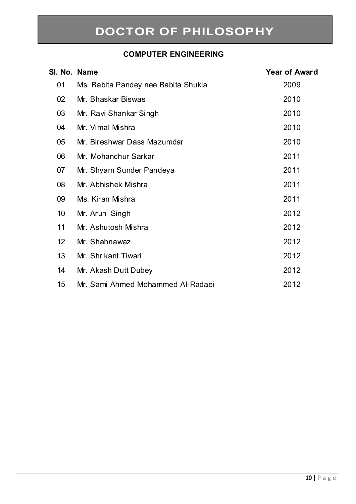#### **COMPUTER ENGINEERING**

| SI. No. Name    |                                     | <b>Year of Award</b> |
|-----------------|-------------------------------------|----------------------|
| 01              | Ms. Babita Pandey nee Babita Shukla | 2009                 |
| 02              | Mr. Bhaskar Biswas                  | 2010                 |
| 03              | Mr. Ravi Shankar Singh              | 2010                 |
| 04              | Mr. Vimal Mishra                    | 2010                 |
| 05              | Mr. Bireshwar Dass Mazumdar         | 2010                 |
| 06              | Mr. Mohanchur Sarkar                | 2011                 |
| 07              | Mr. Shyam Sunder Pandeya            | 2011                 |
| 08              | Mr. Abhishek Mishra                 | 2011                 |
| 09              | Ms. Kiran Mishra                    | 2011                 |
| 10              | Mr. Aruni Singh                     | 2012                 |
| 11              | Mr. Ashutosh Mishra                 | 2012                 |
| 12 <sup>2</sup> | Mr. Shahnawaz                       | 2012                 |
| 13              | Mr. Shrikant Tiwari                 | 2012                 |
| 14              | Mr. Akash Dutt Dubey                | 2012                 |
| 15              | Mr. Sami Ahmed Mohammed Al-Radaei   | 2012                 |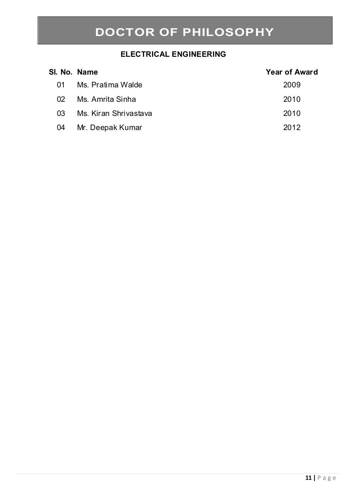### **ELECTRICAL ENGINEERING**

| SI. No. Name |                       | <b>Year of Award</b> |
|--------------|-----------------------|----------------------|
| 01           | Ms. Pratima Walde     | 2009                 |
| 02           | Ms. Amrita Sinha      | 2010                 |
| 03           | Ms. Kiran Shriyastaya | 2010                 |
| 04           | Mr. Deepak Kumar      | 2012                 |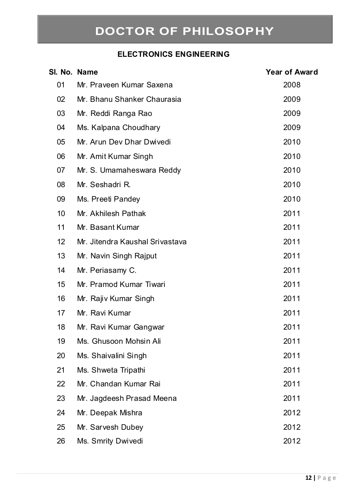### **ELECTRONICS ENGINEERING**

| SI. No. Name |                                 | <b>Year of Award</b> |
|--------------|---------------------------------|----------------------|
| 01           | Mr. Praveen Kumar Saxena        | 2008                 |
| 02           | Mr. Bhanu Shanker Chaurasia     | 2009                 |
| 03           | Mr. Reddi Ranga Rao             | 2009                 |
| 04           | Ms. Kalpana Choudhary           | 2009                 |
| 05           | Mr. Arun Dev Dhar Dwivedi       | 2010                 |
| 06           | Mr. Amit Kumar Singh            | 2010                 |
| 07           | Mr. S. Umamaheswara Reddy       | 2010                 |
| 08           | Mr. Seshadri R.                 | 2010                 |
| 09           | Ms. Preeti Pandey               | 2010                 |
| 10           | Mr. Akhilesh Pathak             | 2011                 |
| 11           | Mr. Basant Kumar                | 2011                 |
| 12           | Mr. Jitendra Kaushal Srivastava | 2011                 |
| 13           | Mr. Navin Singh Rajput          | 2011                 |
| 14           | Mr. Periasamy C.                | 2011                 |
| 15           | Mr. Pramod Kumar Tiwari         | 2011                 |
| 16           | Mr. Rajiv Kumar Singh           | 2011                 |
| 17           | Mr. Ravi Kumar                  | 2011                 |
| 18           | Mr. Ravi Kumar Gangwar          | 2011                 |
| 19           | Ms. Ghusoon Mohsin Ali          | 2011                 |
| 20           | Ms. Shaivalini Singh            | 2011                 |
| 21           | Ms. Shweta Tripathi             | 2011                 |
| 22           | Mr. Chandan Kumar Rai           | 2011                 |
| 23           | Mr. Jagdeesh Prasad Meena       | 2011                 |
| 24           | Mr. Deepak Mishra               | 2012                 |
| 25           | Mr. Sarvesh Dubey               | 2012                 |
| 26           | Ms. Smrity Dwivedi              | 2012                 |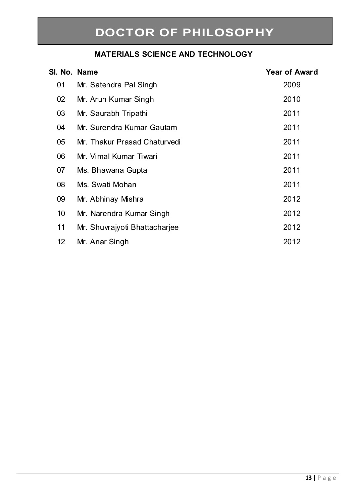#### **MATERIALS SCIENCE AND TECHNOLOGY**

| SI. No. Name    |                               | <b>Year of Award</b> |
|-----------------|-------------------------------|----------------------|
| 01              | Mr. Satendra Pal Singh        | 2009                 |
| 02              | Mr. Arun Kumar Singh          | 2010                 |
| 03              | Mr. Saurabh Tripathi          | 2011                 |
| 04              | Mr. Surendra Kumar Gautam     | 2011                 |
| 05              | Mr. Thakur Prasad Chaturvedi  | 2011                 |
| 06              | Mr. Vimal Kumar Tiwari        | 2011                 |
| 07              | Ms. Bhawana Gupta             | 2011                 |
| 08              | Ms. Swati Mohan               | 2011                 |
| 09              | Mr. Abhinay Mishra            | 2012                 |
| 10              | Mr. Narendra Kumar Singh      | 2012                 |
| 11              | Mr. Shuvrajyoti Bhattacharjee | 2012                 |
| 12 <sup>2</sup> | Mr. Anar Singh                | 2012                 |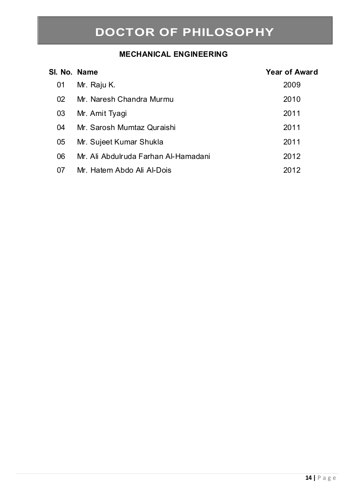### **MECHANICAL ENGINEERING**

| SI. No. Name |                                      | <b>Year of Award</b> |
|--------------|--------------------------------------|----------------------|
| 01           | Mr. Raju K.                          | 2009                 |
| 02           | Mr. Naresh Chandra Murmu             | 2010                 |
| 03           | Mr. Amit Tyagi                       | 2011                 |
| 04           | Mr. Sarosh Mumtaz Quraishi           | 2011                 |
| 05           | Mr. Sujeet Kumar Shukla              | 2011                 |
| 06           | Mr. Ali Abdulruda Farhan Al-Hamadani | 2012                 |
| 07           | Mr. Hatem Abdo Ali Al-Dois           | 2012                 |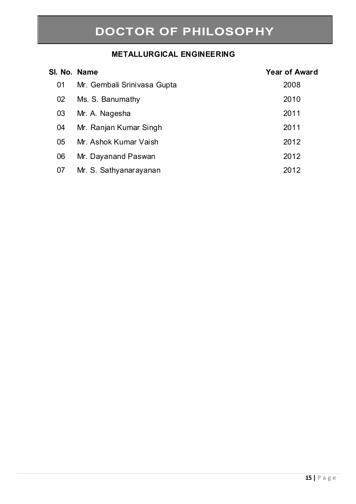### **METALLURGICAL ENGINEERING**

| SI. No. Name |                             | <b>Year of Award</b> |
|--------------|-----------------------------|----------------------|
| 01           | Mr. Gembali Srinivasa Gupta | 2008                 |
| 02           | Ms. S. Banumathy            | 2010                 |
| 03           | Mr. A. Nagesha              | 2011                 |
| 04           | Mr. Ranjan Kumar Singh      | 2011                 |
| 05           | Mr. Ashok Kumar Vaish       | 2012                 |
| 06           | Mr. Dayanand Paswan         | 2012                 |
| 07           | Mr. S. Sathyanarayanan      | 2012                 |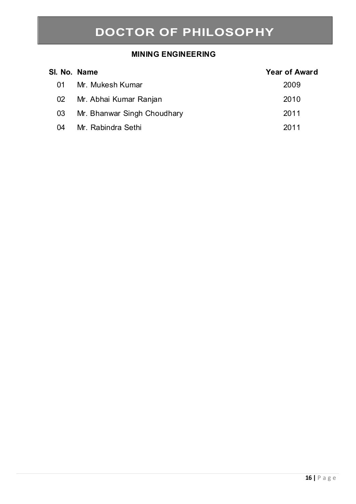#### **MINING ENGINEERING**

| SI. No. Name |                             | <b>Year of Award</b> |
|--------------|-----------------------------|----------------------|
| 01           | Mr. Mukesh Kumar            | 2009                 |
| 02           | Mr. Abhai Kumar Ranjan      | 2010                 |
| 03           | Mr. Bhanwar Singh Choudhary | 2011                 |
| 04           | Mr. Rabindra Sethi          | 2011                 |